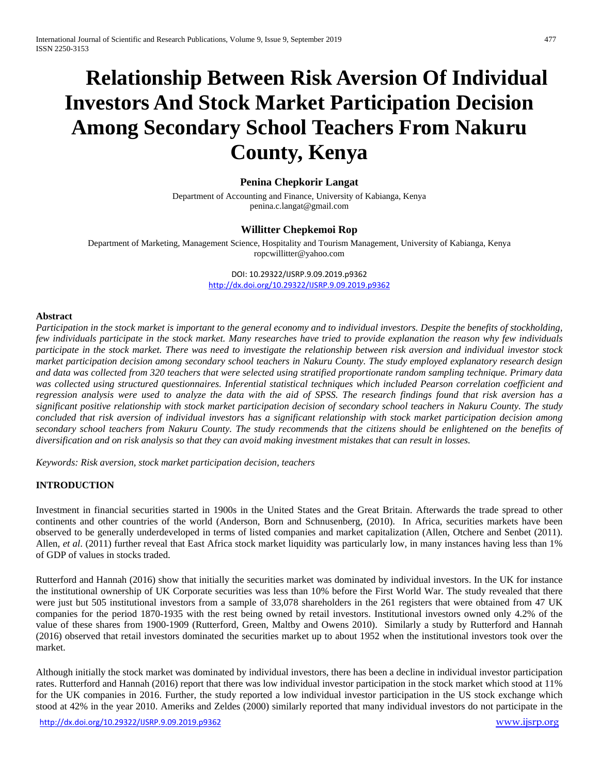# **Relationship Between Risk Aversion Of Individual Investors And Stock Market Participation Decision Among Secondary School Teachers From Nakuru County, Kenya**

# **Penina Chepkorir Langat**

Department of Accounting and Finance, University of Kabianga, Kenya [penina.c.langat@gmail.com](mailto:penina.c.langat@gmail.com)

## **Willitter Chepkemoi Rop**

Department of Marketing, Management Science, Hospitality and Tourism Management, University of Kabianga, Kenya [ropcwillitter@yahoo.com](mailto:ropcwillitter@yahoo.com)

> DOI: 10.29322/IJSRP.9.09.2019.p9362 <http://dx.doi.org/10.29322/IJSRP.9.09.2019.p9362>

#### **Abstract**

*Participation in the stock market is important to the general economy and to individual investors. Despite the benefits of stockholding, few individuals participate in the stock market. Many researches have tried to provide explanation the reason why few individuals participate in the stock market. There was need to investigate the relationship between risk aversion and individual investor stock market participation decision among secondary school teachers in Nakuru County. The study employed explanatory research design and data was collected from 320 teachers that were selected using stratified proportionate random sampling technique. Primary data was collected using structured questionnaires. Inferential statistical techniques which included Pearson correlation coefficient and regression analysis were used to analyze the data with the aid of SPSS. The research findings found that risk aversion has a significant positive relationship with stock market participation decision of secondary school teachers in Nakuru County. The study concluded that risk aversion of individual investors has a significant relationship with stock market participation decision among secondary school teachers from Nakuru County. The study recommends that the citizens should be enlightened on the benefits of diversification and on risk analysis so that they can avoid making investment mistakes that can result in losses.*

*Keywords: Risk aversion, stock market participation decision, teachers*

## **INTRODUCTION**

Investment in financial securities started in 1900s in the United States and the Great Britain. Afterwards the trade spread to other continents and other countries of the world (Anderson, Born and Schnusenberg, (2010). In Africa, securities markets have been observed to be generally underdeveloped in terms of listed companies and market capitalization (Allen, Otchere and Senbet (2011). Allen, *et al.* (2011) further reveal that East Africa stock market liquidity was particularly low, in many instances having less than 1% of GDP of values in stocks traded.

Rutterford and Hannah (2016) show that initially the securities market was dominated by individual investors. In the UK for instance the institutional ownership of UK Corporate securities was less than 10% before the First World War. The study revealed that there were just but 505 institutional investors from a sample of 33,078 shareholders in the 261 registers that were obtained from 47 UK companies for the period 1870-1935 with the rest being owned by retail investors. Institutional investors owned only 4.2% of the value of these shares from 1900-1909 (Rutterford, Green, Maltby and Owens 2010). Similarly a study by Rutterford and Hannah (2016) observed that retail investors dominated the securities market up to about 1952 when the institutional investors took over the market.

Although initially the stock market was dominated by individual investors, there has been a decline in individual investor participation rates. Rutterford and Hannah (2016) report that there was low individual investor participation in the stock market which stood at 11% for the UK companies in 2016. Further, the study reported a low individual investor participation in the US stock exchange which stood at 42% in the year 2010. Ameriks and Zeldes (2000) similarly reported that many individual investors do not participate in the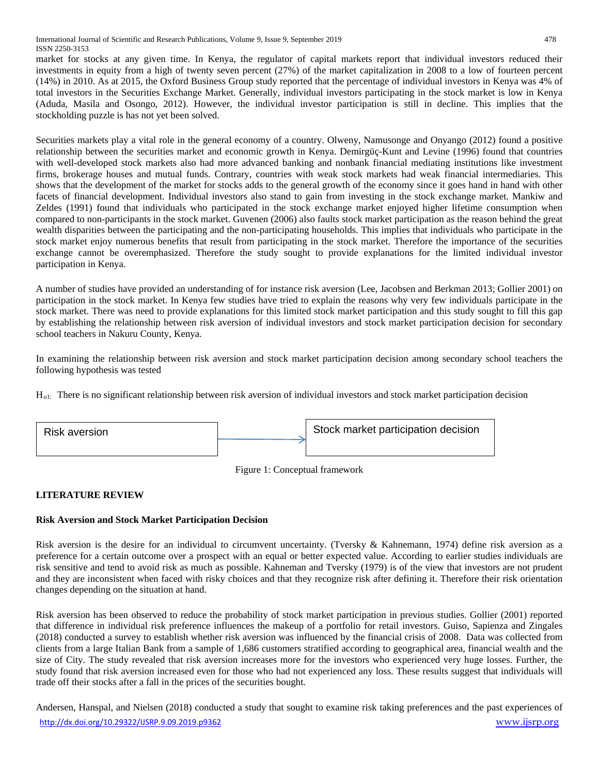market for stocks at any given time. In Kenya, the regulator of capital markets report that individual investors reduced their investments in equity from a high of twenty seven percent (27%) of the market capitalization in 2008 to a low of fourteen percent (14%) in 2010. As at 2015, the Oxford Business Group study reported that the percentage of individual investors in Kenya was 4% of total investors in the Securities Exchange Market. Generally, individual investors participating in the stock market is low in Kenya (Aduda, Masila and Osongo, 2012). However, the individual investor participation is still in decline. This implies that the stockholding puzzle is has not yet been solved.

Securities markets play a vital role in the general economy of a country. Olweny, Namusonge and Onyango (2012) found a positive relationship between the securities market and economic growth in Kenya. Demirgüç-Kunt and Levine (1996) found that countries with well-developed stock markets also had more advanced banking and nonbank financial mediating institutions like investment firms, brokerage houses and mutual funds. Contrary, countries with weak stock markets had weak financial intermediaries. This shows that the development of the market for stocks adds to the general growth of the economy since it goes hand in hand with other facets of financial development. Individual investors also stand to gain from investing in the stock exchange market. Mankiw and Zeldes (1991) found that individuals who participated in the stock exchange market enjoyed higher lifetime consumption when compared to non-participants in the stock market. Guvenen (2006) also faults stock market participation as the reason behind the great wealth disparities between the participating and the non-participating households. This implies that individuals who participate in the stock market enjoy numerous benefits that result from participating in the stock market. Therefore the importance of the securities exchange cannot be overemphasized. Therefore the study sought to provide explanations for the limited individual investor participation in Kenya.

A number of studies have provided an understanding of for instance risk aversion (Lee, Jacobsen and Berkman 2013; Gollier 2001) on participation in the stock market. In Kenya few studies have tried to explain the reasons why very few individuals participate in the stock market. There was need to provide explanations for this limited stock market participation and this study sought to fill this gap by establishing the relationship between risk aversion of individual investors and stock market participation decision for secondary school teachers in Nakuru County, Kenya.

In examining the relationship between risk aversion and stock market participation decision among secondary school teachers the following hypothesis was tested

 $H<sub>ol</sub>$ : There is no significant relationship between risk aversion of individual investors and stock market participation decision



Figure 1: Conceptual framework

# **LITERATURE REVIEW**

## **Risk Aversion and Stock Market Participation Decision**

Risk aversion is the desire for an individual to circumvent uncertainty. (Tversky & Kahnemann, 1974) define risk aversion as a preference for a certain outcome over a prospect with an equal or better expected value. According to earlier studies individuals are risk sensitive and tend to avoid risk as much as possible. Kahneman and Tversky (1979) is of the view that investors are not prudent and they are inconsistent when faced with risky choices and that they recognize risk after defining it. Therefore their risk orientation changes depending on the situation at hand.

Risk aversion has been observed to reduce the probability of stock market participation in previous studies. Gollier (2001) reported that difference in individual risk preference influences the makeup of a portfolio for retail investors. Guiso, Sapienza and Zingales (2018) conducted a survey to establish whether risk aversion was influenced by the financial crisis of 2008. Data was collected from clients from a large Italian Bank from a sample of 1,686 customers stratified according to geographical area, financial wealth and the size of City. The study revealed that risk aversion increases more for the investors who experienced very huge losses. Further, the study found that risk aversion increased even for those who had not experienced any loss. These results suggest that individuals will trade off their stocks after a fall in the prices of the securities bought.

<http://dx.doi.org/10.29322/IJSRP.9.09.2019.p9362> [www.ijsrp.org](http://www.ijsrp.org/) Andersen, Hanspal, and Nielsen (2018) conducted a study that sought to examine risk taking preferences and the past experiences of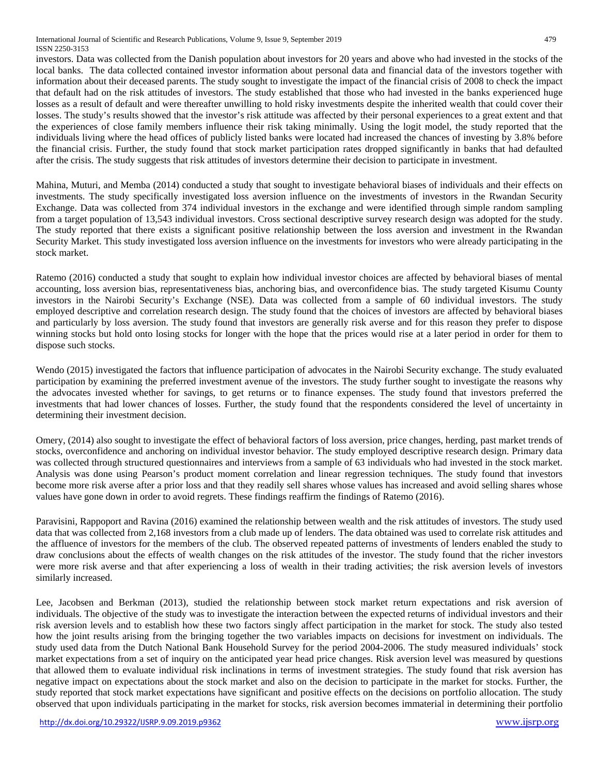International Journal of Scientific and Research Publications, Volume 9, Issue 9, September 2019 479 ISSN 2250-3153

investors. Data was collected from the Danish population about investors for 20 years and above who had invested in the stocks of the local banks. The data collected contained investor information about personal data and financial data of the investors together with information about their deceased parents. The study sought to investigate the impact of the financial crisis of 2008 to check the impact that default had on the risk attitudes of investors. The study established that those who had invested in the banks experienced huge losses as a result of default and were thereafter unwilling to hold risky investments despite the inherited wealth that could cover their losses. The study's results showed that the investor's risk attitude was affected by their personal experiences to a great extent and that the experiences of close family members influence their risk taking minimally. Using the logit model, the study reported that the individuals living where the head offices of publicly listed banks were located had increased the chances of investing by 3.8% before the financial crisis. Further, the study found that stock market participation rates dropped significantly in banks that had defaulted after the crisis. The study suggests that risk attitudes of investors determine their decision to participate in investment.

Mahina, Muturi, and Memba (2014) conducted a study that sought to investigate behavioral biases of individuals and their effects on investments. The study specifically investigated loss aversion influence on the investments of investors in the Rwandan Security Exchange. Data was collected from 374 individual investors in the exchange and were identified through simple random sampling from a target population of 13,543 individual investors. Cross sectional descriptive survey research design was adopted for the study. The study reported that there exists a significant positive relationship between the loss aversion and investment in the Rwandan Security Market. This study investigated loss aversion influence on the investments for investors who were already participating in the stock market.

Ratemo (2016) conducted a study that sought to explain how individual investor choices are affected by behavioral biases of mental accounting, loss aversion bias, representativeness bias, anchoring bias, and overconfidence bias. The study targeted Kisumu County investors in the Nairobi Security's Exchange (NSE). Data was collected from a sample of 60 individual investors. The study employed descriptive and correlation research design. The study found that the choices of investors are affected by behavioral biases and particularly by loss aversion. The study found that investors are generally risk averse and for this reason they prefer to dispose winning stocks but hold onto losing stocks for longer with the hope that the prices would rise at a later period in order for them to dispose such stocks.

Wendo (2015) investigated the factors that influence participation of advocates in the Nairobi Security exchange. The study evaluated participation by examining the preferred investment avenue of the investors. The study further sought to investigate the reasons why the advocates invested whether for savings, to get returns or to finance expenses. The study found that investors preferred the investments that had lower chances of losses. Further, the study found that the respondents considered the level of uncertainty in determining their investment decision.

Omery, (2014) also sought to investigate the effect of behavioral factors of loss aversion, price changes, herding, past market trends of stocks, overconfidence and anchoring on individual investor behavior. The study employed descriptive research design. Primary data was collected through structured questionnaires and interviews from a sample of 63 individuals who had invested in the stock market. Analysis was done using Pearson's product moment correlation and linear regression techniques. The study found that investors become more risk averse after a prior loss and that they readily sell shares whose values has increased and avoid selling shares whose values have gone down in order to avoid regrets. These findings reaffirm the findings of Ratemo (2016).

Paravisini, Rappoport and Ravina (2016) examined the relationship between wealth and the risk attitudes of investors. The study used data that was collected from 2,168 investors from a club made up of lenders. The data obtained was used to correlate risk attitudes and the affluence of investors for the members of the club. The observed repeated patterns of investments of lenders enabled the study to draw conclusions about the effects of wealth changes on the risk attitudes of the investor. The study found that the richer investors were more risk averse and that after experiencing a loss of wealth in their trading activities; the risk aversion levels of investors similarly increased.

Lee, Jacobsen and Berkman (2013), studied the relationship between stock market return expectations and risk aversion of individuals. The objective of the study was to investigate the interaction between the expected returns of individual investors and their risk aversion levels and to establish how these two factors singly affect participation in the market for stock. The study also tested how the joint results arising from the bringing together the two variables impacts on decisions for investment on individuals. The study used data from the Dutch National Bank Household Survey for the period 2004-2006. The study measured individuals' stock market expectations from a set of inquiry on the anticipated year head price changes. Risk aversion level was measured by questions that allowed them to evaluate individual risk inclinations in terms of investment strategies. The study found that risk aversion has negative impact on expectations about the stock market and also on the decision to participate in the market for stocks. Further, the study reported that stock market expectations have significant and positive effects on the decisions on portfolio allocation. The study observed that upon individuals participating in the market for stocks, risk aversion becomes immaterial in determining their portfolio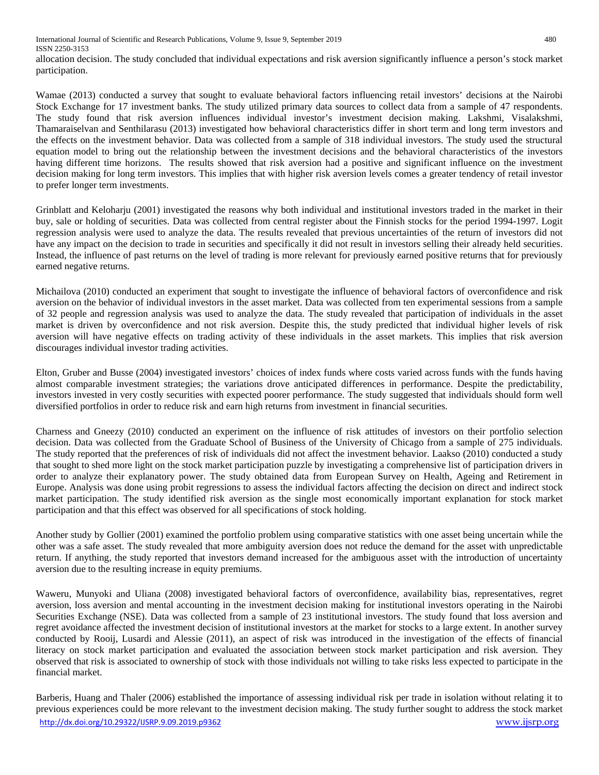allocation decision. The study concluded that individual expectations and risk aversion significantly influence a person's stock market participation.

Wamae (2013) conducted a survey that sought to evaluate behavioral factors influencing retail investors' decisions at the Nairobi Stock Exchange for 17 investment banks. The study utilized primary data sources to collect data from a sample of 47 respondents. The study found that risk aversion influences individual investor's investment decision making. Lakshmi, Visalakshmi, Thamaraiselvan and Senthilarasu (2013) investigated how behavioral characteristics differ in short term and long term investors and the effects on the investment behavior. Data was collected from a sample of 318 individual investors. The study used the structural equation model to bring out the relationship between the investment decisions and the behavioral characteristics of the investors having different time horizons. The results showed that risk aversion had a positive and significant influence on the investment decision making for long term investors. This implies that with higher risk aversion levels comes a greater tendency of retail investor to prefer longer term investments.

Grinblatt and Keloharju (2001) investigated the reasons why both individual and institutional investors traded in the market in their buy, sale or holding of securities. Data was collected from central register about the Finnish stocks for the period 1994-1997. Logit regression analysis were used to analyze the data. The results revealed that previous uncertainties of the return of investors did not have any impact on the decision to trade in securities and specifically it did not result in investors selling their already held securities. Instead, the influence of past returns on the level of trading is more relevant for previously earned positive returns that for previously earned negative returns.

Michailova (2010) conducted an experiment that sought to investigate the influence of behavioral factors of overconfidence and risk aversion on the behavior of individual investors in the asset market. Data was collected from ten experimental sessions from a sample of 32 people and regression analysis was used to analyze the data. The study revealed that participation of individuals in the asset market is driven by overconfidence and not risk aversion. Despite this, the study predicted that individual higher levels of risk aversion will have negative effects on trading activity of these individuals in the asset markets. This implies that risk aversion discourages individual investor trading activities.

Elton, Gruber and Busse (2004) investigated investors' choices of index funds where costs varied across funds with the funds having almost comparable investment strategies; the variations drove anticipated differences in performance. Despite the predictability, investors invested in very costly securities with expected poorer performance. The study suggested that individuals should form well diversified portfolios in order to reduce risk and earn high returns from investment in financial securities.

Charness and Gneezy (2010) conducted an experiment on the influence of risk attitudes of investors on their portfolio selection decision. Data was collected from the Graduate School of Business of the University of Chicago from a sample of 275 individuals. The study reported that the preferences of risk of individuals did not affect the investment behavior. Laakso (2010) conducted a study that sought to shed more light on the stock market participation puzzle by investigating a comprehensive list of participation drivers in order to analyze their explanatory power. The study obtained data from European Survey on Health, Ageing and Retirement in Europe. Analysis was done using probit regressions to assess the individual factors affecting the decision on direct and indirect stock market participation. The study identified risk aversion as the single most economically important explanation for stock market participation and that this effect was observed for all specifications of stock holding.

Another study by Gollier (2001) examined the portfolio problem using comparative statistics with one asset being uncertain while the other was a safe asset. The study revealed that more ambiguity aversion does not reduce the demand for the asset with unpredictable return. If anything, the study reported that investors demand increased for the ambiguous asset with the introduction of uncertainty aversion due to the resulting increase in equity premiums.

Waweru, Munyoki and Uliana (2008) investigated behavioral factors of overconfidence, availability bias, representatives, regret aversion, loss aversion and mental accounting in the investment decision making for institutional investors operating in the Nairobi Securities Exchange (NSE). Data was collected from a sample of 23 institutional investors. The study found that loss aversion and regret avoidance affected the investment decision of institutional investors at the market for stocks to a large extent. In another survey conducted by Rooij, Lusardi and Alessie (2011), an aspect of risk was introduced in the investigation of the effects of financial literacy on stock market participation and evaluated the association between stock market participation and risk aversion. They observed that risk is associated to ownership of stock with those individuals not willing to take risks less expected to participate in the financial market.

<http://dx.doi.org/10.29322/IJSRP.9.09.2019.p9362> [www.ijsrp.org](http://www.ijsrp.org/) Barberis, Huang and Thaler (2006) established the importance of assessing individual risk per trade in isolation without relating it to previous experiences could be more relevant to the investment decision making. The study further sought to address the stock market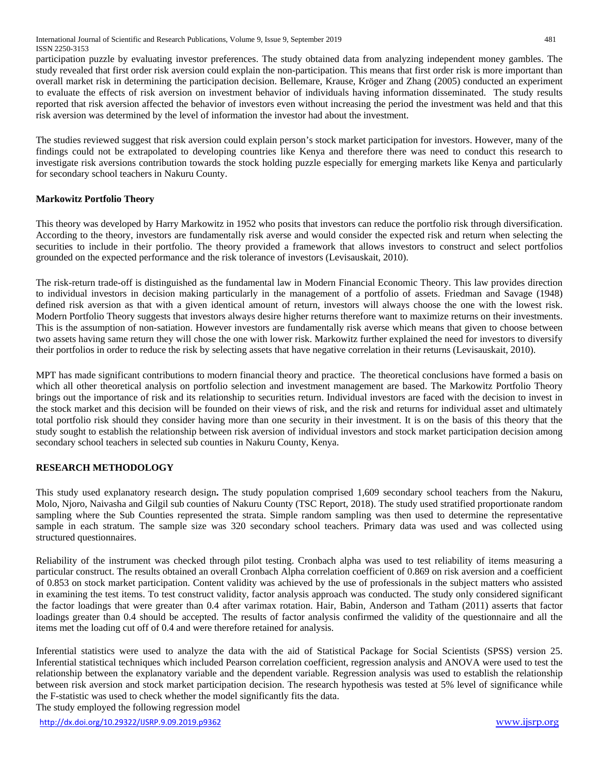participation puzzle by evaluating investor preferences. The study obtained data from analyzing independent money gambles. The study revealed that first order risk aversion could explain the non-participation. This means that first order risk is more important than overall market risk in determining the participation decision. Bellemare, Krause, Kröger and Zhang (2005) conducted an experiment to evaluate the effects of risk aversion on investment behavior of individuals having information disseminated. The study results reported that risk aversion affected the behavior of investors even without increasing the period the investment was held and that this risk aversion was determined by the level of information the investor had about the investment.

The studies reviewed suggest that risk aversion could explain person's stock market participation for investors. However, many of the findings could not be extrapolated to developing countries like Kenya and therefore there was need to conduct this research to investigate risk aversions contribution towards the stock holding puzzle especially for emerging markets like Kenya and particularly for secondary school teachers in Nakuru County.

# **Markowitz Portfolio Theory**

This theory was developed by Harry Markowitz in 1952 who posits that investors can reduce the portfolio risk through diversification. According to the theory, investors are fundamentally risk averse and would consider the expected risk and return when selecting the securities to include in their portfolio. The theory provided a framework that allows investors to construct and select portfolios grounded on the expected performance and the risk tolerance of investors (Levisauskait, 2010).

The risk-return trade-off is distinguished as the fundamental law in Modern Financial Economic Theory. This law provides direction to individual investors in decision making particularly in the management of a portfolio of assets. Friedman and Savage (1948) defined risk aversion as that with a given identical amount of return, investors will always choose the one with the lowest risk. Modern Portfolio Theory suggests that investors always desire higher returns therefore want to maximize returns on their investments. This is the assumption of non-satiation. However investors are fundamentally risk averse which means that given to choose between two assets having same return they will chose the one with lower risk. Markowitz further explained the need for investors to diversify their portfolios in order to reduce the risk by selecting assets that have negative correlation in their returns (Levisauskait, 2010).

MPT has made significant contributions to modern financial theory and practice. The theoretical conclusions have formed a basis on which all other theoretical analysis on portfolio selection and investment management are based. The Markowitz Portfolio Theory brings out the importance of risk and its relationship to securities return. Individual investors are faced with the decision to invest in the stock market and this decision will be founded on their views of risk, and the risk and returns for individual asset and ultimately total portfolio risk should they consider having more than one security in their investment. It is on the basis of this theory that the study sought to establish the relationship between risk aversion of individual investors and stock market participation decision among secondary school teachers in selected sub counties in Nakuru County, Kenya.

# **RESEARCH METHODOLOGY**

This study used explanatory research design**.** The study population comprised 1,609 secondary school teachers from the Nakuru, Molo, Njoro, Naivasha and Gilgil sub counties of Nakuru County (TSC Report, 2018). The study used stratified proportionate random sampling where the Sub Counties represented the strata. Simple random sampling was then used to determine the representative sample in each stratum. The sample size was 320 secondary school teachers. Primary data was used and was collected using structured questionnaires.

Reliability of the instrument was checked through pilot testing. Cronbach alpha was used to test reliability of items measuring a particular construct. The results obtained an overall Cronbach Alpha correlation coefficient of 0.869 on risk aversion and a coefficient of 0.853 on stock market participation. Content validity was achieved by the use of professionals in the subject matters who assisted in examining the test items. To test construct validity, factor analysis approach was conducted. The study only considered significant the factor loadings that were greater than 0.4 after varimax rotation. Hair, Babin, Anderson and Tatham (2011) asserts that factor loadings greater than 0.4 should be accepted. The results of factor analysis confirmed the validity of the questionnaire and all the items met the loading cut off of 0.4 and were therefore retained for analysis.

Inferential statistics were used to analyze the data with the aid of Statistical Package for Social Scientists (SPSS) version 25. Inferential statistical techniques which included Pearson correlation coefficient, regression analysis and ANOVA were used to test the relationship between the explanatory variable and the dependent variable. Regression analysis was used to establish the relationship between risk aversion and stock market participation decision. The research hypothesis was tested at 5% level of significance while the F-statistic was used to check whether the model significantly fits the data.

The study employed the following regression model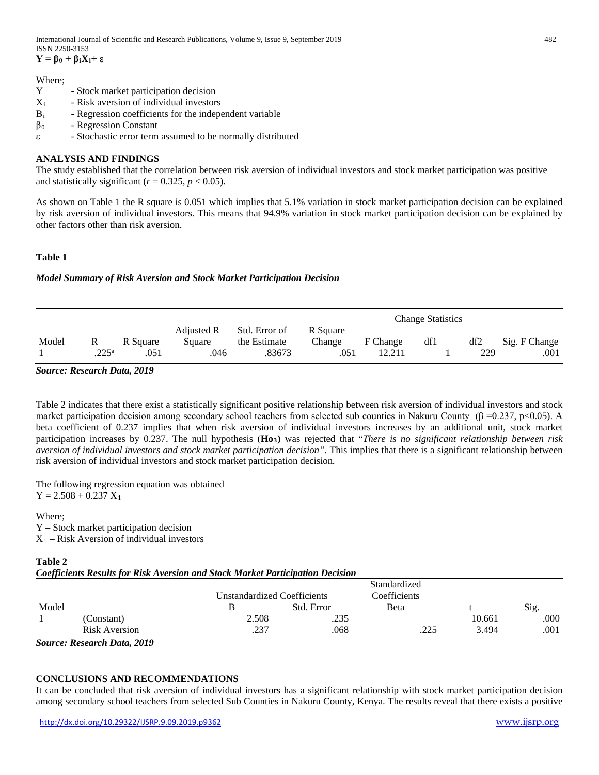International Journal of Scientific and Research Publications, Volume 9, Issue 9, September 2019 482 ISSN 2250-3153

**Y = β<sup>0</sup> + βiXi+ ε**

#### Where;

- Y Stock market participation decision
- $X_i$  Risk aversion of individual investors
- Β<sup>i</sup> Regression coefficients for the independent variable
- $\beta_0$  Regression Constant
- ε Stochastic error term assumed to be normally distributed

## **ANALYSIS AND FINDINGS**

The study established that the correlation between risk aversion of individual investors and stock market participation was positive and statistically significant ( $r = 0.325$ ,  $p < 0.05$ ).

As shown on Table 1 the R square is 0.051 which implies that 5.1% variation in stock market participation decision can be explained by risk aversion of individual investors. This means that 94.9% variation in stock market participation decision can be explained by other factors other than risk aversion.

### **Table 1**

#### *Model Summary of Risk Aversion and Stock Market Participation Decision*

|       |                |          |                      |                               |                    | <b>Change Statistics</b> |     |     |               |  |
|-------|----------------|----------|----------------------|-------------------------------|--------------------|--------------------------|-----|-----|---------------|--|
| Model |                | R Square | Adjusted R<br>Square | Std. Error of<br>the Estimate | R Square<br>Change | F Change                 | df1 | df2 | Sig. F Change |  |
|       | $.225^{\rm a}$ | 051      | 046                  | .83673                        | .051               | 12.211                   |     | 229 | .001          |  |

*Source: Research Data, 2019*

Table 2 indicates that there exist a statistically significant positive relationship between risk aversion of individual investors and stock market participation decision among secondary school teachers from selected sub counties in Nakuru County (β =0.237, p<0.05). A beta coefficient of 0.237 implies that when risk aversion of individual investors increases by an additional unit, stock market participation increases by 0.237. The null hypothesis (**Ho3)** was rejected that "*There is no significant relationship between risk aversion of individual investors and stock market participation decision".* This implies that there is a significant relationship between risk aversion of individual investors and stock market participation decision*.*

The following regression equation was obtained  $Y = 2.508 + 0.237 X_1$ 

Where; Y – Stock market participation decision  $X_1$  – Risk Aversion of individual investors

## **Table 2**

*Coefficients Results for Risk Aversion and Stock Market Participation Decision*

|                      | Unstandardized Coefficients |            | Standardized<br>Coefficients |        |      |
|----------------------|-----------------------------|------------|------------------------------|--------|------|
| Model                |                             | Std. Error | <b>B</b> eta                 |        | Sig. |
| (Constant)           | 2.508                       | .235       |                              | 10.661 | .000 |
| <b>Risk Aversion</b> | .237                        | .068       | 225<br>ت کے گ                | 3.494  | .001 |

*Source: Research Data, 2019*

## **CONCLUSIONS AND RECOMMENDATIONS**

It can be concluded that risk aversion of individual investors has a significant relationship with stock market participation decision among secondary school teachers from selected Sub Counties in Nakuru County, Kenya. The results reveal that there exists a positive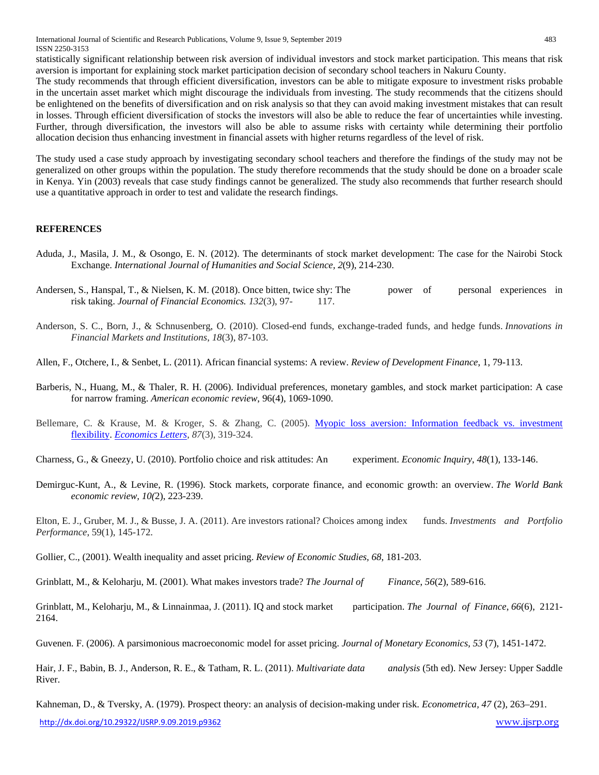International Journal of Scientific and Research Publications, Volume 9, Issue 9, September 2019 483 ISSN 2250-3153

statistically significant relationship between risk aversion of individual investors and stock market participation. This means that risk aversion is important for explaining stock market participation decision of secondary school teachers in Nakuru County.

The study recommends that through efficient diversification, investors can be able to mitigate exposure to investment risks probable in the uncertain asset market which might discourage the individuals from investing. The study recommends that the citizens should be enlightened on the benefits of diversification and on risk analysis so that they can avoid making investment mistakes that can result in losses. Through efficient diversification of stocks the investors will also be able to reduce the fear of uncertainties while investing. Further, through diversification, the investors will also be able to assume risks with certainty while determining their portfolio allocation decision thus enhancing investment in financial assets with higher returns regardless of the level of risk.

The study used a case study approach by investigating secondary school teachers and therefore the findings of the study may not be generalized on other groups within the population. The study therefore recommends that the study should be done on a broader scale in Kenya. Yin (2003) reveals that case study findings cannot be generalized. The study also recommends that further research should use a quantitative approach in order to test and validate the research findings.

### **REFERENCES**

- Aduda, J., Masila, J. M., & Osongo, E. N. (2012). The determinants of stock market development: The case for the Nairobi Stock Exchange. *International Journal of Humanities and Social Science, 2*(9), 214-230.
- Andersen, S., Hanspal, T., & Nielsen, K. M. (2018). Once bitten, twice shy: The power of personal experiences in risk taking. *Journal of Financial Economics. 132*(3), 97- 117.
- Anderson, S. C., Born, J., & Schnusenberg, O. (2010). Closed-end funds, exchange-traded funds, and hedge funds. *Innovations in Financial Markets and Institutions*, *18*(3), 87-103.
- Allen, F., Otchere, I., & Senbet, L. (2011). African financial systems: A review. *Review of Development Finance*, 1, 79-113.
- Barberis, N., Huang, M., & Thaler, R. H. (2006). Individual preferences, monetary gambles, and stock market participation: A case for narrow framing. *American economic review*, 96(4), 1069-1090.
- Bellemare, C. & Krause, M. & Kroger, S. & Zhang, C. (2005). Myopic loss aversion: Information feedback vs. investment [flexibility.](https://ideas.repec.org/a/eee/ecolet/v87y2005i3p319-324.html) *[Economics Letters](https://ideas.repec.org/s/eee/ecolet.html)*, *87*(3), 319-324.
- Charness, G., & Gneezy, U. (2010). Portfolio choice and risk attitudes: An experiment. *Economic Inquiry*, *48*(1), 133-146.
- Demirguc-Kunt, A., & Levine, R. (1996). Stock markets, corporate finance, and economic growth: an overview. *The World Bank economic review, 10(*2), 223-239.

Elton, E. J., Gruber, M. J., & Busse, J. A. (2011). Are investors rational? Choices among index funds. *Investments and Portfolio Performance*, 59(1), 145-172.

Gollier, C., (2001). Wealth inequality and asset pricing. *Review of Economic Studies, 68*, 181-203.

Grinblatt, M., & Keloharju, M. (2001). What makes investors trade? *The Journal of Finance*, *56*(2), 589-616.

Grinblatt, M., Keloharju, M., & Linnainmaa, J. (2011). IQ and stock market participation. *The Journal of Finance*, *66*(6), 2121- 2164.

Guvenen. F. (2006). A parsimonious macroeconomic model for asset pricing. *Journal of Monetary Economics, 53* (7), 1451-1472.

Hair, J. F., Babin, B. J., Anderson, R. E., & Tatham, R. L. (2011). *Multivariate data analysis* (5th ed). New Jersey: Upper Saddle River.

Kahneman, D., & Tversky, A. (1979). Prospect theory: an analysis of decision-making under risk. *Econometrica, 47* (2), 263–291.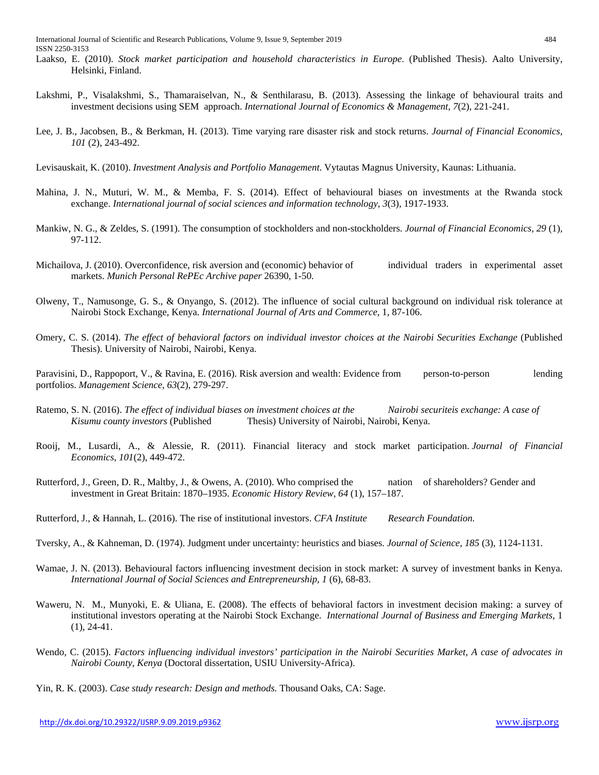- Laakso, E. (2010). *Stock market participation and household characteristics in Europe*. (Published Thesis). Aalto University, Helsinki, Finland.
- Lakshmi, P., Visalakshmi, S., Thamaraiselvan, N., & Senthilarasu, B. (2013). Assessing the linkage of behavioural traits and investment decisions using SEM approach. *International Journal of Economics & Management*, *7*(2), 221-241.
- Lee, J. B., Jacobsen, B., & Berkman, H. (2013). Time varying rare disaster risk and stock returns. *Journal of Financial Economics*, *101* (2), 243-492.
- Levisauskait, K. (2010). *Investment Analysis and Portfolio Management*. Vytautas Magnus University, Kaunas: Lithuania.
- Mahina, J. N., Muturi, W. M., & Memba, F. S. (2014). Effect of behavioural biases on investments at the Rwanda stock exchange. *International journal of social sciences and information technology*, *3*(3), 1917-1933.
- Mankiw, N. G., & Zeldes, S. (1991). The consumption of stockholders and non-stockholders. *Journal of Financial Economics, 29* (1), 97-112.
- Michailova, J. (2010). Overconfidence, risk aversion and (economic) behavior of individual traders in experimental asset markets. *Munich Personal RePEc Archive paper* 26390, 1-50.
- Olweny, T., Namusonge, G. S., & Onyango, S. (2012). The influence of social cultural background on individual risk tolerance at Nairobi Stock Exchange, Kenya. *International Journal of Arts and Commerce,* 1*,* 87-106.
- Omery, C. S. (2014). *The effect of behavioral factors on individual investor choices at the Nairobi Securities Exchange* (Published Thesis). University of Nairobi, Nairobi, Kenya.

Paravisini, D., Rappoport, V., & Ravina, E. (2016). Risk aversion and wealth: Evidence from person-to-person lending portfolios. *Management Science*, *63*(2), 279-297.

- Ratemo, S. N. (2016). *The effect of individual biases on investment choices at the* Nairobi securiteis exchange: A case of *Kisumu county investors* (Published Thesis) University of Nairobi, Nairobi, Kenya.
- Rooij, M., Lusardi, A., & Alessie, R. (2011). Financial literacy and stock market participation. *Journal of Financial Economics*, *101*(2), 449-472.
- Rutterford, J., Green, D. R., Maltby, J., & Owens, A. (2010). Who comprised the nation of shareholders? Gender and investment in Great Britain: 1870–1935. *Economic History Review*, *64* (1), 157–187.
- Rutterford, J., & Hannah, L. (2016). The rise of institutional investors. *CFA Institute Research Foundation.*
- Tversky, A., & Kahneman, D. (1974). Judgment under uncertainty: heuristics and biases. *Journal of Science*, *185* (3), 1124-1131.
- Wamae, J. N. (2013). Behavioural factors influencing investment decision in stock market: A survey of investment banks in Kenya. *International Journal of Social Sciences and Entrepreneurship, 1* (6), 68-83.
- Waweru, N. M., Munyoki, E. & Uliana, E. (2008). The effects of behavioral factors in investment decision making: a survey of institutional investors operating at the Nairobi Stock Exchange. *International Journal of Business and Emerging Markets,* 1  $(1), 24-41.$
- Wendo, C. (2015). *Factors influencing individual investors' participation in the Nairobi Securities Market, A case of advocates in Nairobi County*, *Kenya* (Doctoral dissertation, USIU University-Africa).
- Yin, R. K. (2003). *Case study research: Design and methods.* Thousand Oaks, CA: Sage.